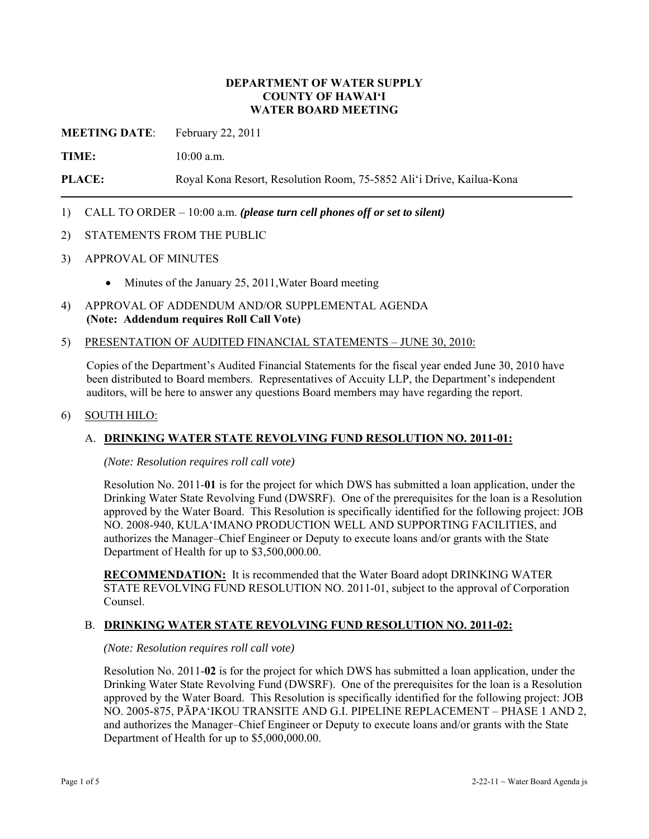## **DEPARTMENT OF WATER SUPPLY COUNTY OF HAWAI'I WATER BOARD MEETING**

**MEETING DATE**: February 22, 2011

**TIME:** 10:00 a.m.

**PLACE:** Royal Kona Resort, Resolution Room, 75-5852 Ali'i Drive, Kailua-Kona

## 1) CALL TO ORDER – 10:00 a.m. *(please turn cell phones off or set to silent)*

- 2) STATEMENTS FROM THE PUBLIC
- 3) APPROVAL OF MINUTES
	- Minutes of the January 25, 2011, Water Board meeting

## 4) APPROVAL OF ADDENDUM AND/OR SUPPLEMENTAL AGENDA **(Note: Addendum requires Roll Call Vote)**

#### 5) PRESENTATION OF AUDITED FINANCIAL STATEMENTS – JUNE 30, 2010:

Copies of the Department's Audited Financial Statements for the fiscal year ended June 30, 2010 have been distributed to Board members. Representatives of Accuity LLP, the Department's independent auditors, will be here to answer any questions Board members may have regarding the report.

### 6) SOUTH HILO:

## A. **DRINKING WATER STATE REVOLVING FUND RESOLUTION NO. 2011-01:**

*(Note: Resolution requires roll call vote)* 

Resolution No. 2011-**01** is for the project for which DWS has submitted a loan application, under the Drinking Water State Revolving Fund (DWSRF). One of the prerequisites for the loan is a Resolution approved by the Water Board. This Resolution is specifically identified for the following project: JOB NO. 2008-940, KULA'IMANO PRODUCTION WELL AND SUPPORTING FACILITIES, and authorizes the Manager–Chief Engineer or Deputy to execute loans and/or grants with the State Department of Health for up to \$3,500,000.00.

**RECOMMENDATION:** It is recommended that the Water Board adopt DRINKING WATER STATE REVOLVING FUND RESOLUTION NO. 2011-01, subject to the approval of Corporation Counsel.

### B. **DRINKING WATER STATE REVOLVING FUND RESOLUTION NO. 2011-02:**

#### *(Note: Resolution requires roll call vote)*

Resolution No. 2011-**02** is for the project for which DWS has submitted a loan application, under the Drinking Water State Revolving Fund (DWSRF). One of the prerequisites for the loan is a Resolution approved by the Water Board. This Resolution is specifically identified for the following project: JOB NO. 2005-875, PĀPA'IKOU TRANSITE AND G.I. PIPELINE REPLACEMENT – PHASE 1 AND 2, and authorizes the Manager–Chief Engineer or Deputy to execute loans and/or grants with the State Department of Health for up to \$5,000,000.00.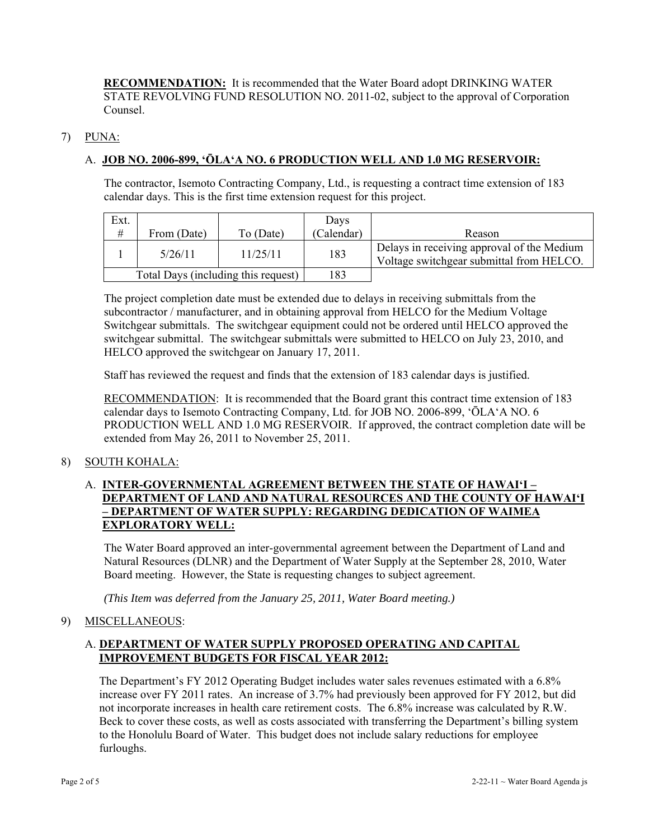**RECOMMENDATION:** It is recommended that the Water Board adopt DRINKING WATER STATE REVOLVING FUND RESOLUTION NO. 2011-02, subject to the approval of Corporation Counsel.

## 7) PUNA:

## A. **JOB NO. 2006-899, 'ŌLA'A NO. 6 PRODUCTION WELL AND 1.0 MG RESERVOIR:**

The contractor, Isemoto Contracting Company, Ltd., is requesting a contract time extension of 183 calendar days. This is the first time extension request for this project.

| Ext.                                |             |           | Days       |                                                                                        |
|-------------------------------------|-------------|-----------|------------|----------------------------------------------------------------------------------------|
| #                                   | From (Date) | To (Date) | (Calendar) | Reason                                                                                 |
|                                     | 5/26/11     | 11/25/11  | 183        | Delays in receiving approval of the Medium<br>Voltage switchgear submittal from HELCO. |
| Total Days (including this request) |             |           | 183        |                                                                                        |

The project completion date must be extended due to delays in receiving submittals from the subcontractor / manufacturer, and in obtaining approval from HELCO for the Medium Voltage Switchgear submittals. The switchgear equipment could not be ordered until HELCO approved the switchgear submittal. The switchgear submittals were submitted to HELCO on July 23, 2010, and HELCO approved the switchgear on January 17, 2011.

Staff has reviewed the request and finds that the extension of 183 calendar days is justified.

RECOMMENDATION: It is recommended that the Board grant this contract time extension of 183 calendar days to Isemoto Contracting Company, Ltd. for JOB NO. 2006-899, 'ŌLA'A NO. 6 PRODUCTION WELL AND 1.0 MG RESERVOIR. If approved, the contract completion date will be extended from May 26, 2011 to November 25, 2011.

## 8) SOUTH KOHALA:

## A. **INTER-GOVERNMENTAL AGREEMENT BETWEEN THE STATE OF HAWAI'I – DEPARTMENT OF LAND AND NATURAL RESOURCES AND THE COUNTY OF HAWAI'I – DEPARTMENT OF WATER SUPPLY: REGARDING DEDICATION OF WAIMEA EXPLORATORY WELL:**

The Water Board approved an inter-governmental agreement between the Department of Land and Natural Resources (DLNR) and the Department of Water Supply at the September 28, 2010, Water Board meeting. However, the State is requesting changes to subject agreement.

*(This Item was deferred from the January 25, 2011, Water Board meeting.)* 

## 9) MISCELLANEOUS:

## A. **DEPARTMENT OF WATER SUPPLY PROPOSED OPERATING AND CAPITAL IMPROVEMENT BUDGETS FOR FISCAL YEAR 2012:**

The Department's FY 2012 Operating Budget includes water sales revenues estimated with a 6.8% increase over FY 2011 rates. An increase of 3.7% had previously been approved for FY 2012, but did not incorporate increases in health care retirement costs. The 6.8% increase was calculated by R.W. Beck to cover these costs, as well as costs associated with transferring the Department's billing system to the Honolulu Board of Water. This budget does not include salary reductions for employee furloughs.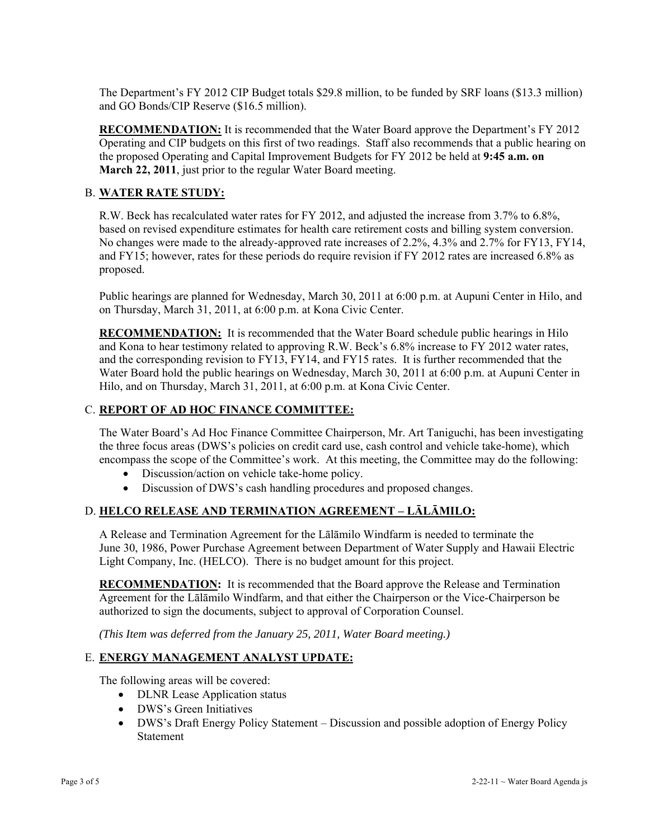The Department's FY 2012 CIP Budget totals \$29.8 million, to be funded by SRF loans (\$13.3 million) and GO Bonds/CIP Reserve (\$16.5 million).

**RECOMMENDATION:** It is recommended that the Water Board approve the Department's FY 2012 Operating and CIP budgets on this first of two readings. Staff also recommends that a public hearing on the proposed Operating and Capital Improvement Budgets for FY 2012 be held at **9:45 a.m. on March 22, 2011**, just prior to the regular Water Board meeting.

## B. **WATER RATE STUDY:**

R.W. Beck has recalculated water rates for FY 2012, and adjusted the increase from 3.7% to 6.8%, based on revised expenditure estimates for health care retirement costs and billing system conversion. No changes were made to the already-approved rate increases of 2.2%, 4.3% and 2.7% for FY13, FY14, and FY15; however, rates for these periods do require revision if FY 2012 rates are increased 6.8% as proposed.

Public hearings are planned for Wednesday, March 30, 2011 at 6:00 p.m. at Aupuni Center in Hilo, and on Thursday, March 31, 2011, at 6:00 p.m. at Kona Civic Center.

**RECOMMENDATION:** It is recommended that the Water Board schedule public hearings in Hilo and Kona to hear testimony related to approving R.W. Beck's 6.8% increase to FY 2012 water rates, and the corresponding revision to FY13, FY14, and FY15 rates. It is further recommended that the Water Board hold the public hearings on Wednesday, March 30, 2011 at 6:00 p.m. at Aupuni Center in Hilo, and on Thursday, March 31, 2011, at 6:00 p.m. at Kona Civic Center.

## C. **REPORT OF AD HOC FINANCE COMMITTEE:**

The Water Board's Ad Hoc Finance Committee Chairperson, Mr. Art Taniguchi, has been investigating the three focus areas (DWS's policies on credit card use, cash control and vehicle take-home), which encompass the scope of the Committee's work. At this meeting, the Committee may do the following:

- Discussion/action on vehicle take-home policy.
- Discussion of DWS's cash handling procedures and proposed changes.

# D. **HELCO RELEASE AND TERMINATION AGREEMENT – LĀLĀMILO:**

A Release and Termination Agreement for the Lālāmilo Windfarm is needed to terminate the June 30, 1986, Power Purchase Agreement between Department of Water Supply and Hawaii Electric Light Company, Inc. (HELCO). There is no budget amount for this project.

**RECOMMENDATION:** It is recommended that the Board approve the Release and Termination Agreement for the Lālāmilo Windfarm, and that either the Chairperson or the Vice-Chairperson be authorized to sign the documents, subject to approval of Corporation Counsel.

*(This Item was deferred from the January 25, 2011, Water Board meeting.)* 

## E. **ENERGY MANAGEMENT ANALYST UPDATE:**

The following areas will be covered:

- DLNR Lease Application status
- DWS's Green Initiatives
- DWS's Draft Energy Policy Statement Discussion and possible adoption of Energy Policy **Statement**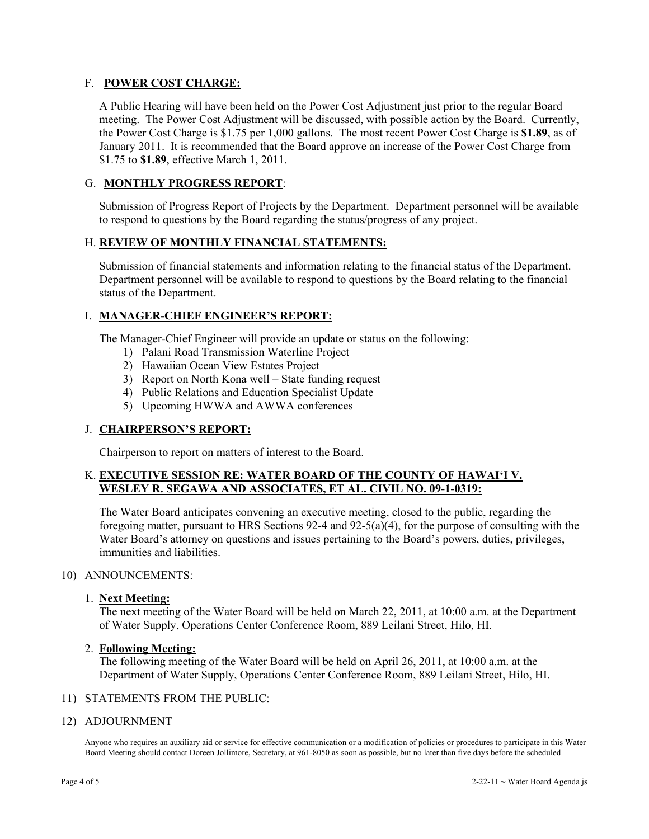## F. **POWER COST CHARGE:**

A Public Hearing will have been held on the Power Cost Adjustment just prior to the regular Board meeting. The Power Cost Adjustment will be discussed, with possible action by the Board. Currently, the Power Cost Charge is \$1.75 per 1,000 gallons. The most recent Power Cost Charge is **\$1.89**, as of January 2011. It is recommended that the Board approve an increase of the Power Cost Charge from \$1.75 to **\$1.89**, effective March 1, 2011.

## G. **MONTHLY PROGRESS REPORT**:

Submission of Progress Report of Projects by the Department. Department personnel will be available to respond to questions by the Board regarding the status/progress of any project.

## H. **REVIEW OF MONTHLY FINANCIAL STATEMENTS:**

Submission of financial statements and information relating to the financial status of the Department. Department personnel will be available to respond to questions by the Board relating to the financial status of the Department.

## I. **MANAGER-CHIEF ENGINEER'S REPORT:**

The Manager-Chief Engineer will provide an update or status on the following:

- 1) Palani Road Transmission Waterline Project
- 2) Hawaiian Ocean View Estates Project
- 3) Report on North Kona well State funding request
- 4) Public Relations and Education Specialist Update
- 5) Upcoming HWWA and AWWA conferences

## J. **CHAIRPERSON'S REPORT:**

Chairperson to report on matters of interest to the Board.

## K. **EXECUTIVE SESSION RE: WATER BOARD OF THE COUNTY OF HAWAI'I V. WESLEY R. SEGAWA AND ASSOCIATES, ET AL. CIVIL NO. 09-1-0319:**

The Water Board anticipates convening an executive meeting, closed to the public, regarding the foregoing matter, pursuant to HRS Sections 92-4 and 92-5(a)(4), for the purpose of consulting with the Water Board's attorney on questions and issues pertaining to the Board's powers, duties, privileges, immunities and liabilities.

#### 10) ANNOUNCEMENTS:

#### 1. **Next Meeting:**

The next meeting of the Water Board will be held on March 22, 2011, at 10:00 a.m. at the Department of Water Supply, Operations Center Conference Room, 889 Leilani Street, Hilo, HI.

#### 2. **Following Meeting:**

The following meeting of the Water Board will be held on April 26, 2011, at 10:00 a.m. at the Department of Water Supply, Operations Center Conference Room, 889 Leilani Street, Hilo, HI.

#### 11) STATEMENTS FROM THE PUBLIC:

#### 12) ADJOURNMENT

Anyone who requires an auxiliary aid or service for effective communication or a modification of policies or procedures to participate in this Water Board Meeting should contact Doreen Jollimore, Secretary, at 961-8050 as soon as possible, but no later than five days before the scheduled